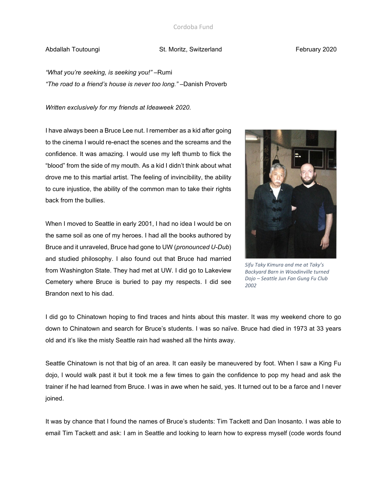# Abdallah Toutoungi **St. Moritz, Switzerland** February 2020

*"What you're seeking, is seeking you!"* –Rumi *"The road to a friend's house is never too long."* –Danish Proverb

*Written exclusively for my friends at Ideaweek 2020.*

I have always been a Bruce Lee nut. I remember as a kid after going to the cinema I would re-enact the scenes and the screams and the confidence. It was amazing. I would use my left thumb to flick the "blood" from the side of my mouth. As a kid I didn't think about what drove me to this martial artist. The feeling of invincibility, the ability to cure injustice, the ability of the common man to take their rights back from the bullies.

When I moved to Seattle in early 2001, I had no idea I would be on the same soil as one of my heroes. I had all the books authored by Bruce and it unraveled, Bruce had gone to UW (*pronounced U-Dub*) and studied philosophy. I also found out that Bruce had married from Washington State. They had met at UW. I did go to Lakeview Cemetery where Bruce is buried to pay my respects. I did see Brandon next to his dad.



*Sifu Taky Kimura and me at Taky's Backyard Barn in Woodinville turned Dojo – Seattle Jun Fan Gung Fu Club 2002*

I did go to Chinatown hoping to find traces and hints about this master. It was my weekend chore to go down to Chinatown and search for Bruce's students. I was so naïve. Bruce had died in 1973 at 33 years old and it's like the misty Seattle rain had washed all the hints away.

Seattle Chinatown is not that big of an area. It can easily be maneuvered by foot. When I saw a King Fu dojo, I would walk past it but it took me a few times to gain the confidence to pop my head and ask the trainer if he had learned from Bruce. I was in awe when he said, yes. It turned out to be a farce and I never joined.

It was by chance that I found the names of Bruce's students: Tim Tackett and Dan Inosanto. I was able to email Tim Tackett and ask: I am in Seattle and looking to learn how to express myself (code words found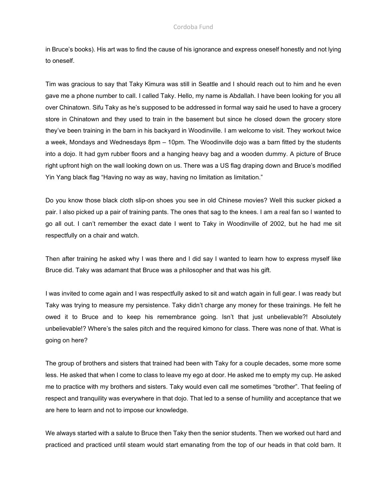### Cordoba Fund

in Bruce's books). His art was to find the cause of his ignorance and express oneself honestly and not lying to oneself.

Tim was gracious to say that Taky Kimura was still in Seattle and I should reach out to him and he even gave me a phone number to call. I called Taky. Hello, my name is Abdallah. I have been looking for you all over Chinatown. Sifu Taky as he's supposed to be addressed in formal way said he used to have a grocery store in Chinatown and they used to train in the basement but since he closed down the grocery store they've been training in the barn in his backyard in Woodinville. I am welcome to visit. They workout twice a week, Mondays and Wednesdays 8pm – 10pm. The Woodinville dojo was a barn fitted by the students into a dojo. It had gym rubber floors and a hanging heavy bag and a wooden dummy. A picture of Bruce right upfront high on the wall looking down on us. There was a US flag draping down and Bruce's modified Yin Yang black flag "Having no way as way, having no limitation as limitation."

Do you know those black cloth slip-on shoes you see in old Chinese movies? Well this sucker picked a pair. I also picked up a pair of training pants. The ones that sag to the knees. I am a real fan so I wanted to go all out. I can't remember the exact date I went to Taky in Woodinville of 2002, but he had me sit respectfully on a chair and watch.

Then after training he asked why I was there and I did say I wanted to learn how to express myself like Bruce did. Taky was adamant that Bruce was a philosopher and that was his gift.

I was invited to come again and I was respectfully asked to sit and watch again in full gear. I was ready but Taky was trying to measure my persistence. Taky didn't charge any money for these trainings. He felt he owed it to Bruce and to keep his remembrance going. Isn't that just unbelievable?! Absolutely unbelievable!? Where's the sales pitch and the required kimono for class. There was none of that. What is going on here?

The group of brothers and sisters that trained had been with Taky for a couple decades, some more some less. He asked that when I come to class to leave my ego at door. He asked me to empty my cup. He asked me to practice with my brothers and sisters. Taky would even call me sometimes "brother". That feeling of respect and tranquility was everywhere in that dojo. That led to a sense of humility and acceptance that we are here to learn and not to impose our knowledge.

We always started with a salute to Bruce then Taky then the senior students. Then we worked out hard and practiced and practiced until steam would start emanating from the top of our heads in that cold barn. It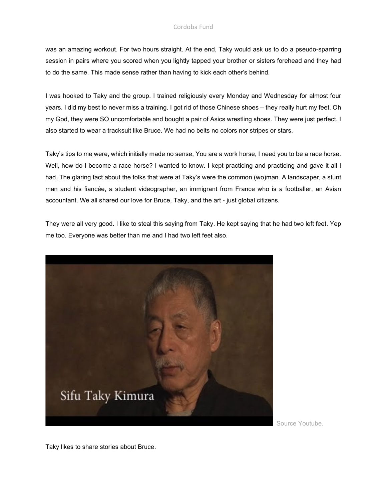## Cordoba Fund

was an amazing workout. For two hours straight. At the end, Taky would ask us to do a pseudo-sparring session in pairs where you scored when you lightly tapped your brother or sisters forehead and they had to do the same. This made sense rather than having to kick each other's behind.

I was hooked to Taky and the group. I trained religiously every Monday and Wednesday for almost four years. I did my best to never miss a training. I got rid of those Chinese shoes – they really hurt my feet. Oh my God, they were SO uncomfortable and bought a pair of Asics wrestling shoes. They were just perfect. I also started to wear a tracksuit like Bruce. We had no belts no colors nor stripes or stars.

Taky's tips to me were, which initially made no sense, You are a work horse, I need you to be a race horse. Well, how do I become a race horse? I wanted to know. I kept practicing and practicing and gave it all I had. The glaring fact about the folks that were at Taky's were the common (wo)man. A landscaper, a stunt man and his fiancée, a student videographer, an immigrant from France who is a footballer, an Asian accountant. We all shared our love for Bruce, Taky, and the art - just global citizens.

They were all very good. I like to steal this saying from Taky. He kept saying that he had two left feet. Yep me too. Everyone was better than me and I had two left feet also.



Source Youtube.

Taky likes to share stories about Bruce.